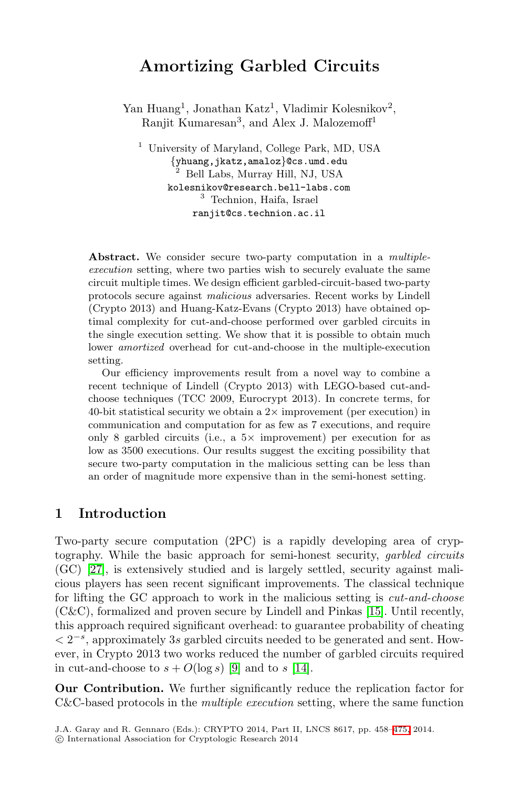# **Amortizing Garbled Circuits**

Yan Huang<sup>1</sup>, Jonathan Katz<sup>1</sup>, Vladimir Kolesnikov<sup>2</sup>, Ranjit Kumaresan<sup>3</sup>, and Alex J. Malozemoff<sup>1</sup>

<sup>1</sup> University of Maryland, College Park, MD, USA {yhuang,jkatz,amaloz}@cs.umd.edu <sup>2</sup> Bell Labs, Murray Hill, NJ, USA kolesnikov@research.bell-labs.com <sup>3</sup> Technion, Haifa, Israel ranjit@cs.technion.ac.il

**Abstract.** We consider secure two-party computation in a *multipleexecution* setting, where two parties wish to securely evaluate the same circuit multiple times. We design efficient garbled-circuit-based two-party protocols secure against *malicious* adversaries. Recent works by Lindell (Crypto 2013) and Huang-Katz-Evans (Crypto 2013) have obtained optimal complexity for cut-and-choose performed over garbled circuits in the single execution setting. We show that it is possible to obtain much lower *amortized* overhead for cut-and-choose in the multiple-execution setting.

Our efficiency improvements result from a novel way to combine a recent technique of Lindell (Crypto 2013) with LEGO-based cut-andchoose techniques (TCC 2009, Eurocrypt 2013). In concrete terms, for 40-bit statistical security we obtain a  $2\times$  improvement (per execution) in communication and computation for as few as 7 executions, and require only 8 garbled circuits (i.e., a  $5 \times$  improvement) per execution for as low as 3500 executions. Our results suggest the exciting possibility that secure two-party computation in the malicious setting can be less than an order of magnitude more expensive than in the semi-honest setting.

## **1 Introduction**

Two-party secure computation (2PC) is a rapidly developing area of cryptography. Whil[e t](#page-16-0)he basic [app](#page-17-0)roach for semi-honest security, garbled circuits (GC) [27], is extensively studied and is largely settled, security against malicious players has seen recent significant improvements. The classical technique for lifting the GC approach to work in the malicious setting is cut-and-choose (C&C), formalized and proven secure by Lindell and Pinkas [15]. Until recently, this approach required significant overhead: to [guara](#page-17-1)ntee probability of cheating  $\langle 2^{-s},$  approximately 3s garbled circuits needed to be generated and sent. However, in Crypto 2013 two works reduced the number of garbled circuits required in cut-and-choose to  $s + O(\log s)$  [9] and to s [14].

**Our Contribution.** We further significantly reduce the replication factor for C&C-based protocols in the multiple execution setting, where the same function

J.A. Garay and R. Gennaro (Eds.): CRYPTO 2014, Part II, LNCS 8617, pp. 458–475, 2014.

<sup>-</sup>c International Association for Cryptologic Research 2014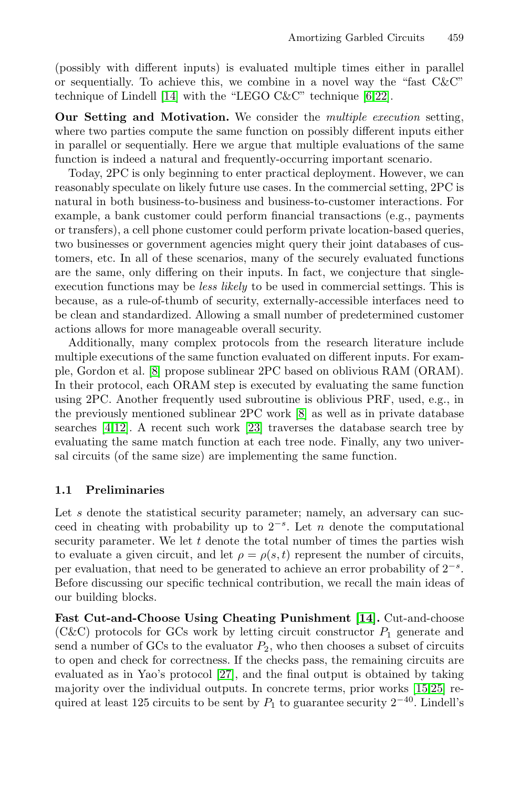(possibly with different inputs) is evaluated multiple times either in parallel or sequentially. To achieve this, we combine in a novel way the "fast  $C\&C$ " technique of Lindell [14] with the "LEGO C&C" technique [6,22].

**Our Setting and Motivation.** We consider the multiple execution setting, where two parties compute the same function on possibly different inputs either in parallel or sequentially. Here we argue that multiple evaluations of the same function is indeed a natural and frequently-occurring important scenario.

Today, 2PC is only beginning to enter practical deployment. However, we can reasonably speculate on likely future use cases. In the commercial setting, 2PC is natural in both business-to-business and business-to-customer interactions. For example, a bank customer could perform financial transactions (e.g., payments or transfers), a cell phone customer could perform private location-based queries, two businesses or government agencies might query their joint databases of cus[tom](#page-16-1)ers, etc. In all of these scenarios, many of the securely evaluated functions are the same, only differing on their inputs. In fact, we conjecture that singleexecution functions may be less likely to be used in commercial settings. This is because, as a rule-of-thumb [of](#page-16-1) security, externally-accessible interfaces need to be clean and stand[ardi](#page-17-2)zed. Allowing a small number of predetermined customer actions allows for more manageable overall security.

Additionally, many complex protocols from the research literature include multiple executions of the same function evaluated on different inputs. For example, Gordon et al. [8] propose sublinear 2PC based on oblivious RAM (ORAM). In their protocol, each ORAM step is executed by evaluating the same function using 2PC. Another frequently used subroutine is oblivious PRF, used, e.g., in the previously mentioned sublinear 2PC work [8] as well as in private database searches [4,12]. A recent such work [23] traverses the database search tree by evaluating the same match function at each tree node. Finally, any two universal circuits (of the same size) are implementing the same function.

### **1.1 Preliminaries**

Let s denote the statistical security par[ame](#page-17-0)ter; namely, an adversary can succeed in cheating with probability up to  $2^{-s}$ . Let n denote the computational security parameter. We let  $t$  denote the total number of times the parties wish to evaluate a given circuit, and let  $\rho = \rho(s, t)$  represent the number of circuits, per evaluatio[n,](#page-17-3) [th](#page-17-3)at need to be generated to achieve an error probability of  $2^{-s}$ . Before discussing our specific technical contribution[,](#page-17-4) [w](#page-17-4)[e](#page-17-5) [re](#page-17-5)call the main ideas of our building blocks.

**Fast Cut-and-Choose Using Cheating Punishment [14].** Cut-and-choose (C&C) protocols for GCs work by letting circuit constructor  $P_1$  generate and send a number of GCs to the evaluator  $P_2$ , who then chooses a subset of circuits to open and check for correctness. If the checks pass, the remaining circuits are evaluated as in Yao's protocol [27], and the final output is obtained by taking majority over the individual outputs. In concrete terms, prior works [15,25] required at least 125 circuits to be sent by  $P_1$  to guarantee security  $2^{-40}$ . Lindell's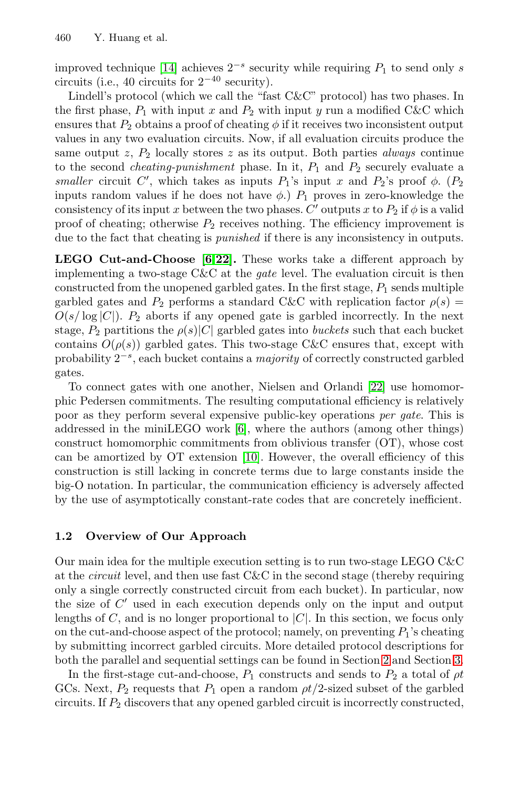improved technique [14] achieves  $2^{-s}$  security while requiring  $P_1$  to send only s circuits (i.e., 40 circuits for 2−<sup>40</sup> security).

Lindell's protocol (which we call the "fast C&C" protocol) has two phases. In the first phase,  $P_1$  with input x and  $P_2$  with input y run a modified C&C which ensures that  $P_2$  obtains a proof of cheating  $\phi$  if it receives two inconsistent output values in any two evaluation circuits. Now, if all evaluation circuits produce the same o[ut](#page-16-2)put z[,](#page-17-6)  $P_2$  locally stores z as its output. Both parties *always* continue to the second *cheating-punishment* phase. In it,  $P_1$  and  $P_2$  securely evaluate a smaller circuit C', which takes as inputs  $P_1$ 's input x and  $P_2$ 's proof  $\phi$ . ( $P_2$ )<br>inputs random values if he does not have  $\phi$ )  $P_2$  proves in zero-knowledge the inputs random values if he does not have  $\phi$ .)  $P_1$  proves in zero-knowledge the consistency of its input x between the two phases. C' outputs x to  $P_2$  if  $\phi$  is a valid proof of cheating; otherwise  $P_2$  receives nothing. The efficiency improvement is due to the fact that cheating is punished if there is any inconsistency in outputs.

**LEGO Cut-and-Choose [6,22].** These works take a different approach by implementing a two-stage C&C at the *gate* [lev](#page-17-6)el. The evaluation circuit is then constructed from the unopened garbled gates. In the first stage,  $P_1$  sends multiple garbled gates and  $P_2$  performs a standard C&C with replication factor  $\rho(s)$  =  $O(s/\log|C|)$ .  $P_2$  [ab](#page-16-2)orts if any opened gate is garbled incorrectly. In the next stage,  $P_2$  partitions the  $\rho(s)|C|$  garbled gates into buckets such that each bucket contains  $O(\rho(s))$  g[arb](#page-16-3)led gates. This two-stage C&C ensures that, except with probability  $2^{-s}$ , each bucket contains a *majority* of correctly constructed garbled gates.

To connect gates with one another, Nielsen and Orlandi [22] use homomorphic Pedersen commitments. The resulting computational efficiency is relatively poor as they perform several expensive public-key operations per gate. This is addressed in the miniLEGO work [6], where the authors (among other things) construct homomorphic commitments from oblivious transfer (OT), whose cost can be amortized by OT extension [10]. However, the overall efficiency of this construction is still lacking in concrete terms due to large constants inside the big-O notation. In particular, the communication efficiency is adversely affected by the use of asymptotically constant-rate codes that are concretely inefficient.

### **1.2 Overview of Our Approach**

Our main idea for the multiple execution setti[ng](#page-5-0) is to run t[wo-](#page-14-0)stage LEGO C&C at the circuit level, and then use fast C&C in the second stage (thereby requiring only a single correctly constructed circuit from each bucket). In particular, now the size of  $C'$  used in each execution depends only on the input and output lengths of  $C$ , and is no longer proportional to  $|C|$ . In this section, we focus only on the cut-and-choose aspect of the protocol; namely, on preventing  $P_1$ 's cheating by submitting incorrect garbled circuits. More detailed protocol descriptions for both the parallel and sequential settings can be found in Section 2 and Section 3.

In the first-stage cut-and-choose,  $P_1$  constructs and sends to  $P_2$  a total of  $\rho t$ GCs. Next,  $P_2$  requests that  $P_1$  open a random  $pt/2$ -sized subset of the garbled circuits. If  $P_2$  discovers that any opened garbled circuit is incorrectly constructed,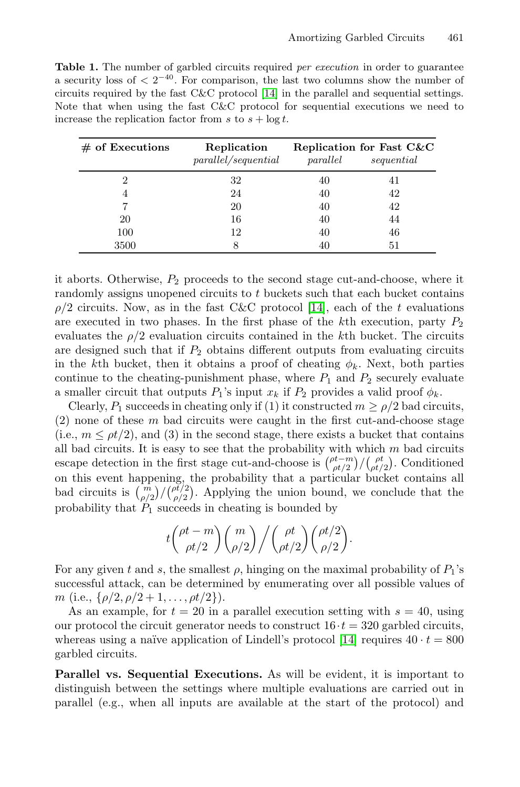**Table 1.** The number of garbled circuits required *per execution* in order to guarantee a security loss of  $\langle 2^{-40} \rangle$ . For comparison, the last two columns show the number of circuits required by the fast C&C protocol [14] in the parallel and sequential settings. Note that when using the fast C&C protocol for sequential executions we need to increase the replication factor from s to  $s + \log t$ .

| $#$ of Executions | Replication<br>parallel/sequential | parallel | Replication for Fast C&C<br>sequential |
|-------------------|------------------------------------|----------|----------------------------------------|
| 2                 | 32                                 | 40       |                                        |
| 4                 | 24                                 | 40       | 42                                     |
|                   | 20                                 | 40       | 42                                     |
| 20                | 16                                 | 40       | 44                                     |
| 100               | 12                                 | 40       | 46                                     |
| 3500              |                                    |          | 51                                     |

it aborts. Otherwise,  $P_2$  proceeds to the second stage cut-and-choose, where it randomly assigns unopened circuits to  $t$  buckets such that each bucket contains  $\rho/2$  circuits. Now, as in the fast C&C protocol [14], each of the t evaluations are executed in two phases. In the first phase of the kth execution, party  $P_2$ evaluates the  $\rho/2$  evaluation circuits contained in the kth bucket. The circuits are designed such that if  $P_2$  obtains different outputs from evaluating circuits in the kth bucket, then it obtains a proof of cheating  $\phi_k$ . Next, both parties continue to the cheating-punishment phase, where  $P_1$  and  $P_2$  securely evaluate a smaller circuit that outputs  $P_1$ 's input  $x_k$  if  $P_2$  provides a valid proof  $\phi_k$ .

Clearly,  $P_1$  succeeds in cheating only if (1) it constructed  $m \ge \rho/2$  bad circuits,  $(2)$  none of these  $m$  bad circuits were caught in the first cut-and-choose stage (i.e.,  $m \leq \rho t/2$ ), and (3) in the second stage, there exists a bucket that contains all bad circuits. It is easy to see that the probability with which m bad circuits escape detection in the first stage cut-and-choose is  $\binom{\rho t - m}{\rho t/2} / \binom{\rho t}{\rho t/2}$ . Conditioned on this event happening, the probability that a particular bucket contains all bad circuits is  $\binom{m}{\rho/2}$  $\frac{1}{1}$  $\int_{0}^{\rho t/2}$  $\frac{\rho^{ot/2}}{\rho/2}$ . Applying the union bound, we conclude that the probability that  $P_1$  succeeds in cheating is bounded by

$$
t\binom{\rho t-m}{\rho t/2}\binom{m}{\rho/2}\bigg/\binom{\rho t}{\rho t/2}\binom{\rho t/2}{\rho/2}.
$$

For any given t and s, the smallest  $\rho$ , hinging on the maximal probability of  $P_1$ 's successful attack, can be determined by enumerating over all possible values of m (i.e.,  $\{\rho/2, \rho/2+1, \ldots, \rho t/2\}$ ).

As an example, for  $t = 20$  in a parallel execution setting with  $s = 40$ , using our protocol the circuit generator needs to construct  $16 \cdot t = 320$  garbled circuits, whereas using a naïve application of Lindell's protocol [14] requires  $40 \cdot t = 800$ garbled circuits.

**Parallel vs. Sequential Executions.** As will be evident, it is important to distinguish between the settings where multiple evaluations are carried out in parallel (e.g., when all inputs are available at the start of the protocol) and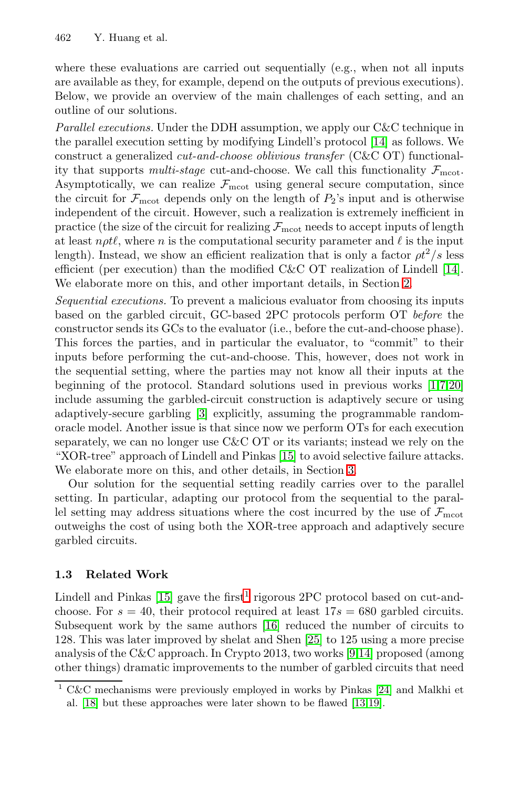where these evaluations are carried out sequentially (e.g., when not all inputs are available as they, for example, depend on the outputs of previous executions). Below, we provide an overview of the main challenges of each setting, and an outline of our solutions.

Parallel executions. Under the DDH assumption, we apply our C&C technique in the parallel execution setting by modifying Lindell's protocol [14] as follows. We construct a generalized cut-and-choose oblivious transfer [\(C&](#page-17-0)C OT) functionality that supports multi-stag[e c](#page-5-0)ut-and-choose. We call this functionality  $\mathcal{F}_{\text{mrot}}$ . Asymptotically, we can realize  $\mathcal{F}_{\text{moot}}$  using general secure computation, since the circuit for  $\mathcal{F}_{\text{moot}}$  depends only on the length of  $P_2$ 's input and is otherwise independent of the circuit. However, such a realization is extremely inefficient in practice (the size of the circuit for realizing  $\mathcal{F}_{\text{meot}}$  needs to accept inputs of length at least  $n\rho t\ell$ , where n is the computational security parameter and  $\ell$  is the input length). Instead, we show an efficient realization that is only a factor  $\rho t^2/s$  less efficient (per execution) than the modified C&C OT realization of Lindell [14]. We elaborate more on this, and other important detail[s,](#page-16-4) [in](#page-16-5) [Se](#page-17-7)ction 2.

Sequentia[l e](#page-16-6)xecutions. To prevent a malicious evaluator from choosing its inputs based on the garbled circuit, GC-based 2PC protocols perform OT before the constructor sends its GCs to the evaluator (i.e., before the cut-and-choose phase). This forces the parties, a[nd](#page-17-4) in particular the evaluator, to "commit" to their inputs before performing the cut-and-[ch](#page-14-0)oose. This, however, does not work in the sequential setting, where the parties may not know all their inputs at the beginning of the protocol. Standard solutions used in previous works [1,7,20] include assuming the garbled-circuit construction is adaptively secure or using adaptively-secure garbling [3] explicitly, assuming the programmable randomoracle model. Another issue is that since now we perform OTs for each execution separately, we can no longer use C&C OT or its variants; instead we rely on the "XOR-tree" approach of Lindell and Pinkas [15] to avoid selective failure attacks. We elaborate more on this, and other details, in Section 3.

<span id="page-4-0"></span>[Ou](#page-17-4)r solution fo[r](#page-4-0) the sequential setting readily carries over to the parallel setting. In particular, adapting our protocol from the sequential to the parallel setting may addres[s si](#page-17-8)tuations where the cost incurred by the use of  $\mathcal{F}_{\text{mcot}}$ outweighs the cost of using bo[th t](#page-17-5)he XOR-tree approach and adaptively secure garbled circuits.

## **1.3 Related Work**

Lindell and Pinkas [15] gave the first<sup>1</sup> r[igo](#page-17-9)[rou](#page-17-10)s 2PC protocol based on cut-andchoose. For  $s = 40$ , their protocol required at least  $17s = 680$  garbled circuits. Subsequent work by the same authors [16] reduced the number of circuits to 128. This was later improved by shelat and Shen [25] to 125 using a more precise analysis of the C&C approach. In Crypto 2013, two works [9,14] proposed (among other things) dramatic improvements to the number of garbled circuits that need

 $C&C$  mechanisms were previously employed in works by Pinkas [24] and Malkhi et al. [18] but these approaches were later shown to be flawed [13,19].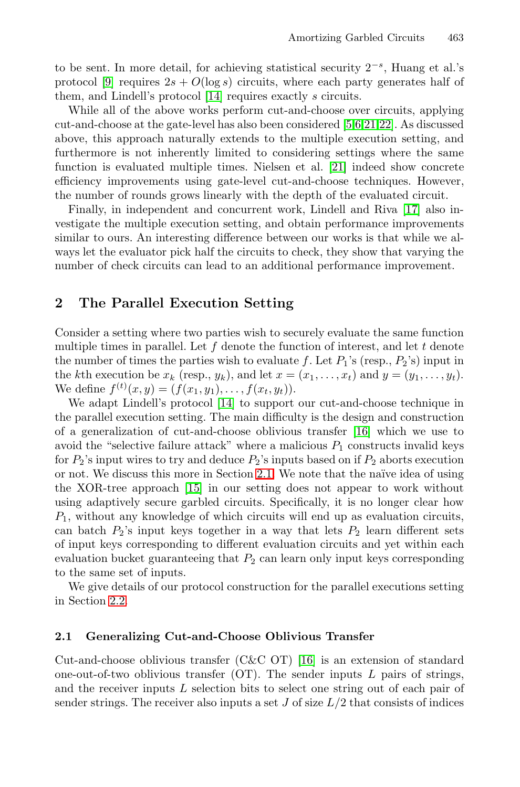<span id="page-5-0"></span>to be sent. In more detail, for achi[evin](#page-17-11)g statistical security 2−s, Huang et al.'s protocol [9] requires  $2s + O(\log s)$  circuits, where each party generates half of them, and Lindell's protocol [14] requires exactly [s](#page-17-12) circuits.

While all of the above works perform cut-and-choose over circuits, applying cut-and-choose at the gate-level has also been considered [5,6,21,22]. As discussed above, this approach naturally extends to the multiple execution setting, and furthermore is not inherently limited to considering settings where the same function is evaluated multiple times. Nielsen et al. [21] indeed show concrete efficiency improvements using gate-level cut-and-choose techniques. However, the number of rounds grows linearly with the depth of the evaluated circuit.

Finally, in independent and concurrent work, Lindell and Riva [17] also investigate the multiple execution setting, and obtain performance improvements similar to ours. An interesting difference between our works is that while we always let the evaluator pick half the circuits to check, they show that varying the number of check circuits can lead to an additional performance improvement.

# **2 The P[ara](#page-17-0)llel Execution Setting**

Consider a setting where two parties wis[h](#page-17-8) [to](#page-17-8) securely evaluate the same function multiple times in parallel. Let  $f$  denote the function of interest, and let  $t$  denote the number of times [the p](#page-5-1)arties wish to evaluate f. Let  $P_1$ 's (resp.,  $P_2$ 's) input in the kth [exe](#page-17-4)cution be  $x_k$  (resp.,  $y_k$ ), and let  $x = (x_1, \ldots, x_t)$  and  $y = (y_1, \ldots, y_t)$ . We define  $f^{(t)}(x,y) = (f(x_1,y_1),...,f(x_t,y_t)).$ <br>We adapt Lindell's protocol [14] to support

<span id="page-5-1"></span>We adapt Lindell's protocol [14] to support our cut-and-choose technique in the parallel execution setting. The main difficulty is the design and construction of a generalization of cut-and-choose oblivious transfer [16] which we use to avoid the "selective failure attack" where a malicious  $P_1$  constructs invalid keys for  $P_2$ 's input wires to try and deduce  $P_2$ 's inputs based on if  $P_2$  aborts execution or not. We discuss this more in Section 2.1. We note that the na¨ıve idea of using the XOR-tree approach [15] in our setting does not appear to work without using adaptively secure garbled circuits. Specifically, it is no longer clear how  $P_1$ , without any knowledge of which circuits will end up as evaluation circuits, can batch  $P_2$ 's input keys together in a way that lets  $P_2$  learn different sets of input keys corresponding to different evaluation circuits and yet within each evaluation bucket guaranteei[ng](#page-17-8) [t](#page-17-8)hat  $P_2$  can learn only input keys corresponding to the same set of inputs.

We give details of our protocol construction for the parallel executions setting in Section 2.2.

## **2.1 Generalizing Cut-and-Choose Oblivious Transfer**

Cut-and-choose oblivious transfer (C&C OT) [16] is an extension of standard one-out-of-two oblivious transfer  $(OT)$ . The sender inputs L pairs of strings, and the receiver inputs L selection bits to select one string out of each pair of sender strings. The receiver also inputs a set  $J$  of size  $L/2$  that consists of indices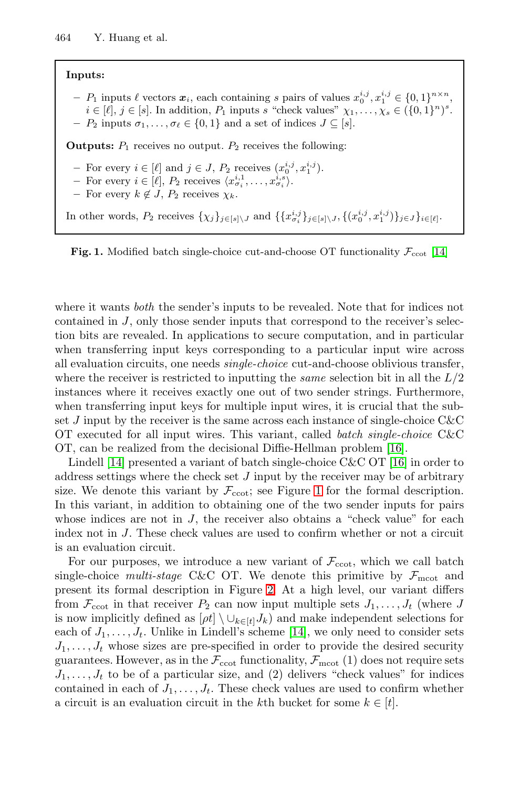<span id="page-6-0"></span>**Inputs:**  $P_1$  inputs  $\ell$  vectors  $\mathbf{x}_i$ , each containing s pairs of values  $x_0^{i,j}, x_1^{i,j} \in \{0,1\}^{n \times n}$ ,<br>  $i \in [\ell]$ ,  $i \in [\ell]$ . In addition,  $P_i$  inputs  $\varepsilon$  "chock values"  $\chi_i \in \{0,1\}^{n \times n}$ ,  $i \in [\ell], j \in [s]$ . In addition,  $P_1$  inputs s "check values"  $\chi_1, \ldots, \chi_s \in (\{0, 1\}^n)^s$ .<br>  $P_2$  inputs  $\sigma_i$   $\sigma_i \in \{0, 1\}$  and a set of indices  $I \subset [s]$  $- P_2$  inputs  $\sigma_1, \ldots, \sigma_\ell \in \{0, 1\}$  and a set of indices  $J \subseteq [s]$ . **Outputs:**  $P_1$  receives no output.  $P_2$  receives the followin[g:](#page-17-0)  $-$  For every  $i \in [\ell]$  and  $j \in J$ ,  $P_2$  receives  $(x_0^{i,j}, x_1^{i,j})$ .<br>  $-$  For every  $i \in [\ell]$ ,  $P_2$  receives  $(x_i^{i,1}, x_i^{i,j})$ . **−** For every  $i \in [\ell], P_2$  receives  $\langle x_i^{i,1}, \ldots, x_{\sigma_i}^{i,s} \rangle$ .<br> **−** For every  $k \notin I$ , Pe receives  $\chi_i$ . **–** For every  $k \notin J$ ,  $P_2$  receives  $\chi_k$ . In other words,  $P_2$  receives  $\{\chi_j\}_{j\in [s]\setminus J}$  and  $\{\{x_{\sigma_i}^{i,j}\}_{j\in [s]\setminus J}, \{(x_0^{i,j}, x_1^{i,j})\}_{j\in J}\}_{i\in [\ell]}.$ 



where it wants *both* the sender's inputs to be revealed. Note that for indices not contained in J, only those sender inputs that correspond to the receiver's selection bits are revealed. In applications to secur[e co](#page-17-8)mputation, and in particular when transferring input keys corresponding t[o a](#page-17-8) particular input wire across all evaluation circuits, one needs single-choice cut-and-choose oblivious transfer, where the receiver is restricted t[o i](#page-6-0)nputting the *same* selection bit in all the  $L/2$ instances where it receives exactly one out of two sender strings. Furthermore, when transferring input keys for multiple input wires, it is crucial that the subset  $J$  input by the receiver is the same across each instance of single-choice  $C\&C$ OT executed for all input wires. This variant, called batch single-choice C&C OT, can be realized from the decisional Diffie-Hellman problem [16].

Lindell [14] presented a variant of batch single-choice C&C OT [16] in order to address settings where [th](#page-7-0)e check set  $J$  input by the receiver may be of arbitrary size. We denote this variant by  $\mathcal{F}_{\text{ccot}}$ ; see Figure 1 for the formal description. In this variant, in addition to obtaining one of the two sender inputs for pairs whose indices are not in  $J$ , [th](#page-17-0)e receiver also obtains a "check value" for each index not in J. These check values are used to confirm whether or not a circuit is an evaluation circuit.

For our purposes, we introduce a new variant of  $\mathcal{F}_{\text{ccot}}$ , which we call batch single-choice multi-stage C&C OT. We denote this primitive by  $\mathcal{F}_{\text{mrot}}$  and present its formal description in Figure 2. At a high level, our variant differs from  $\mathcal{F}_{\text{ccot}}$  in that receiver  $P_2$  can now input multiple sets  $J_1,\ldots,J_t$  (where J is now implicitly defined as  $[\rho t] \setminus \cup_{k \in [t]} J_k$  and make independent selections for each of  $J_1, \ldots, J_t$ . Unlike in Lindell's scheme [14], we only need to consider sets  $J_1, \ldots, J_t$  whose sizes are pre-specified in order to provide the desired security guarantees. However, as in the  $\mathcal{F}_{\text{ccot}}$  functionality,  $\mathcal{F}_{\text{mcot}}$  (1) does not require sets  $J_1, \ldots, J_t$  to be of a particular size, and (2) delivers "check values" for indices contained in each of  $J_1, \ldots, J_t$ . These check values are used to confirm whether a circuit is an evaluation circuit in the k<sup>th</sup> bucket for some  $k \in [t]$ .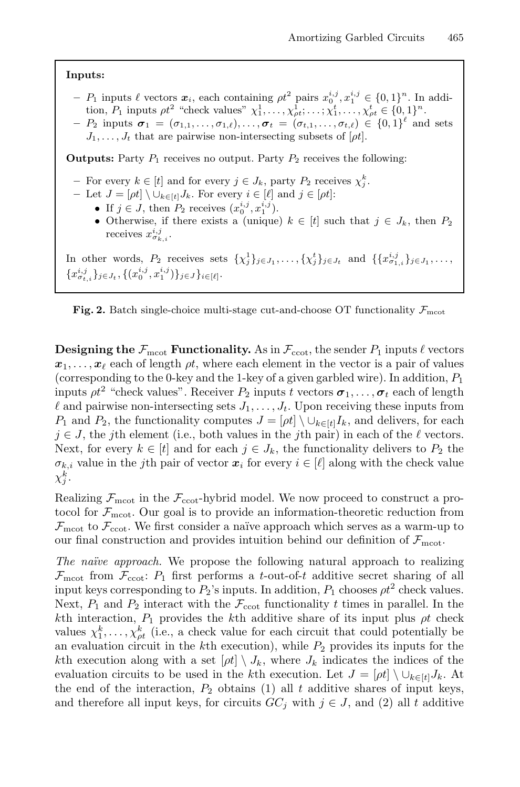#### **Inputs:**

 $P_1$  inputs  $\ell$  vectors  $\mathbf{x}_i$ , each containing  $\rho t^2$  pairs  $x_0^{i,j}, x_1^{i,j} \in \{0,1\}^n$ . In addition  $P_1$  inputs  $\sigma t^2$  "check values"  $x_0^1$ ,  $\sigma t$ ,  $x_0^1$ ,  $\sigma t$ ,  $\epsilon$ ,  $\epsilon$ ,  $\epsilon$ ,  $\epsilon$ ,  $\epsilon$ ,  $\epsilon$ tion,  $P_1$  inputs  $\rho t^2$  "check values"  $\chi_1^1, \ldots, \chi_{\rho t}^1; \ldots; \chi_1^t, \ldots, \chi_{\rho t}^t \in \{0, 1\}^n$ .<br>  $P_2$  inputs  $\sigma_1 = (\sigma_1, \ldots, \sigma_{\rho t})$   $\sigma_t = (\sigma_1, \ldots, \sigma_{\rho t}) \in \{0, 1\}^{\ell}$  and **−**  $P_2$  inputs  $\sigma_1 = (\sigma_{1,1}, \ldots, \sigma_{1,\ell}), \ldots, \sigma_t = (\sigma_{t,1}, \ldots, \sigma_{t,\ell}) \in \{0,1\}^{\ell}$  and sets *I*, that are pairwise non-intersecting subsets of [*ot*]

```
J_1,\ldots,J_t that are pairwise non-intersecting subsets of [\rho t].
```
**Outputs:** Party  $P_1$  receives no output. Party  $P_2$  receives the following:

- **–** For every  $k \in [t]$  and for every  $j \in J_k$ , party  $P_2$  receives  $\chi_j^k$ .<br>
 Let  $I = [at] \setminus \cup_{k \in [t]} I_k$  For every  $i \in [l]$  and  $i \in [at]$ .
- <span id="page-7-0"></span> $-$  Let  $J = [\rho t] \setminus \cup_{k \in [t]} J_k$ . For every  $i \in [\ell]$  and  $j \in [\rho t]$ :
	- If  $j \in J$ , then  $P_2$  receives  $(x_0^{i,j}, x_1^{i,j})$ .<br>• Otherwise, if there exists a (unique
	- Otherwise, if there exists a (unique)  $k \in [t]$  such that  $j \in J_k$ , then  $P_2$ receives  $x_{\sigma_{k,i}}^{i,j}$ .

In other words,  $P_2$  receives sets  $\{\chi_j^1\}_{j \in J_1}, \ldots, \{\chi_j^t\}_{j \in J_t}$  and  $\{\{x_{\sigma_{1,i}}^{i,j}\}_{j \in J_1}, \ldots,$  ${x_{\sigma_{t,i}}^{i,j}}_{j\in J_t}, \{(x_0^{i,j}, x_1^{i,j})\}_{j\in J}\}_{i\in [\ell]}.$ 

**Fig. 2.** Batch single-choice multi-stage cut-and-choose OT functionality  $\mathcal{F}_{\text{mct}}$ 

**Designing the**  $\mathcal{F}_{\text{mcot}}$  **Functionality.** As in  $\mathcal{F}_{\text{ccot}}$ , the sender  $P_1$  inputs  $\ell$  vectors  $x_1, \ldots, x_\ell$  each of length  $\rho t$ , where each element in the vector is a pair of values (corresponding to the 0-key and the 1-key of a given garbled wire). In addition,  $P_1$ inputs  $\rho t^2$  "check values". Receiver  $P_2$  inputs t vectors  $\sigma_1, \ldots, \sigma_t$  each of length  $\ell$  and pairwise non-intersecting sets  $J_1, \ldots, J_t$ . Upon receiving these inputs from P<sub>1</sub> and P<sub>2</sub>, the functionality computes  $J = [\rho t] \setminus \cup_{k \in [t]} I_k$ , and delivers, for each  $j \in J$ , the j<sup>th</sup> element (i.e., both values in the j<sup>th</sup> pair) in each of the  $\ell$  vectors. Next, for every  $k \in [t]$  and for each  $j \in J_k$ , the functionality delivers to  $P_2$  the  $\sigma_{k,i}$  value in the *j*th pair of vector  $x_i$  for every  $i \in [\ell]$  along with the check value  $\chi^k_j$ .

Realizing  $\mathcal{F}_{\text{moot}}$  in the  $\mathcal{F}_{\text{ccot}}$ -hybrid model. We now proceed to construct a protocol for  $\mathcal{F}_{\text{meot}}$ . Our goal is to provide an information-theoretic reduction from  $\mathcal{F}_{\text{meot}}$  to  $\mathcal{F}_{\text{ccot}}$ . We first consider a naïve approach which serves as a warm-up to our final construction and provides intuition behind our definition of  $\mathcal{F}_{\text{mcoat}}$ .

The naïve approach. We propose the following natural approach to realizing  $\mathcal{F}_{\text{moot}}$  from  $\mathcal{F}_{\text{ccot}}$ :  $P_1$  first performs a t-out-of-t additive secret sharing of all input keys corresponding to  $P_2$ 's inputs. In addition,  $P_1$  chooses  $\rho t^2$  check values. Next,  $P_1$  and  $P_2$  interact with the  $\mathcal{F}_{\text{ccot}}$  functionality t times in parallel. In the kth interaction,  $P_1$  provides the kth additive share of its input plus  $\rho t$  check values  $\chi_1^k, \ldots, \chi_{pt}^k$  (i.e., a check value for each circuit that could potentially be<br>an evaluation circuit in the kth execution), while  $P_2$  provides its inputs for the an evaluation circuit in the  $k$ th execution), while  $P_2$  provides its inputs for the kth execution along with a set  $[\rho t] \setminus J_k$ , where  $J_k$  indicates the indices of the evaluation circuits to be used in the kth execution. Let  $J = [\rho t] \setminus \cup_{k \in [t]} J_k$ . At the end of the interaction,  $P_2$  obtains (1) all t additive shares of input keys, and therefore all input keys, for circuits  $GC_j$  with  $j \in J$ , and (2) all t additive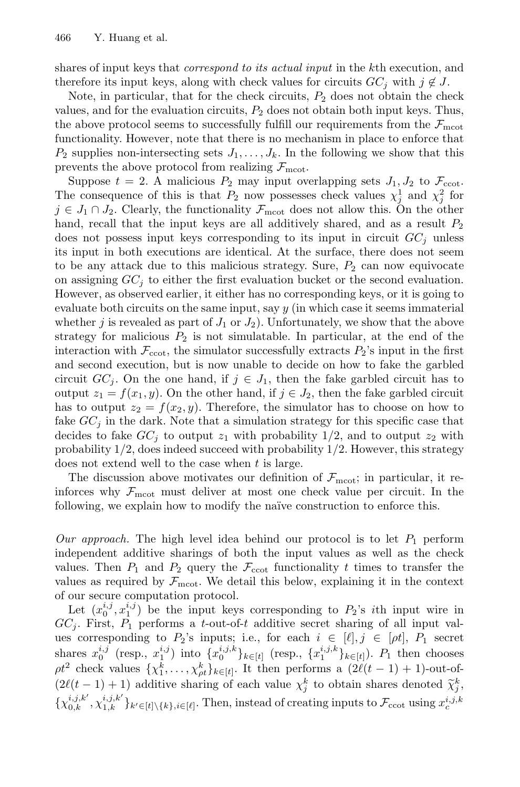shares of input keys that *correspond to its actual input* in the k<sup>th</sup> execution, and therefore its input keys, along with check values for circuits  $GC_i$  with  $j \notin J$ .

Note, in particular, that for the check circuits,  $P_2$  does not obtain the check values, and for the evaluation circuits,  $P_2$  does not obtain both input keys. Thus, the above protocol seems to successfully fulfill our requirements from the  $\mathcal{F}_{\text{moot}}$ functionality. However, note that there is no mechanism in place to enforce that  $P_2$  supplies non-intersecting sets  $J_1,\ldots,J_k$ . In the following we show that this prevents the above protocol from realizing  $\mathcal{F}_{\text{meot}}$ .

Suppose  $t = 2$ . A malicious  $P_2$  may input overlapping sets  $J_1, J_2$  to  $\mathcal{F}_{\text{ccot}}$ . The consequence of this is that  $P_2$  now possesses check values  $\chi_j^1$  and  $\chi_j^2$  for  $j \in J_1 \cap J_2$ . Clearly the functionality  $\mathcal{F}_{\text{max}}$  does not allow this. On the other  $j \in J_1 \cap J_2$ . Clearly, the functionality  $\mathcal{F}_{\text{mcot}}$  does not allow this. On the other hand, recall that the input keys are all additively shared, and as a result  $P_2$ does not possess input keys corresponding to its input in circuit  $GC_j$  unless its input in both executions are identical. At the surface, there does not seem to be any attack due to this malicious strategy. Sure,  $P_2$  can now equivocate on assigning  $GC<sub>i</sub>$  to either the first evaluation bucket or the second evaluation. However, as observed earlier, it either has no corresponding keys, or it is going to evaluate both circuits on the same input, say  $y$  (in which case it seems immaterial whether j is revealed as part of  $J_1$  or  $J_2$ ). Unfortunately, we show that the above strategy for malicious  $P_2$  is not simulatable. In particular, at the end of the interaction with  $\mathcal{F}_{\text{ccot}}$ , the simulator successfully extracts  $P_2$ 's input in the first and second execution, but is now unable to decide on how to fake the garbled circuit  $GC_i$ . On the one hand, if  $j \in J_1$ , then the fake garbled circuit has to output  $z_1 = f(x_1, y)$ . On the other hand, if  $j \in J_2$ , then the fake garbled circuit has to output  $z_2 = f(x_2, y)$ . Therefore, the simulator has to choose on how to fake  $GC_j$  in the dark. Note that a simulation strategy for this specific case that decides to fake  $GC_j$  to output  $z_1$  with probability  $1/2$ , and to output  $z_2$  with probability  $1/2$ , does indeed succeed with probability  $1/2$ . However, this strategy does not extend well to the case when  $t$  is large.

The discussion above motivates our definition of  $\mathcal{F}_{\text{moot}}$ ; in particular, it reinforces why  $\mathcal{F}_{\text{moot}}$  must deliver at most one check value per circuit. In the following, we explain how to modify the naïve construction to enforce this.

Our approach. The high level idea behind our protocol is to let  $P_1$  perform independent additive sharings of both the input values as well as the check values. Then  $P_1$  and  $P_2$  query the  $\mathcal{F}_{\text{ccot}}$  functionality t times to transfer the values as required by  $\mathcal{F}_{\text{moot}}$ . We detail this below, explaining it in the context of our secure computation protocol.

Let  $(x_0^{i,j}, x_1^{i,j})$  be the input keys corresponding to  $P_2$ 's *i*th input wire in<br>  $\therefore$  First  $P_2$  performs a *t*-out-of-*t* additive secret sharing of all input val- $GC_i$ . First,  $P_1$  performs a t-out-of-t additive secret sharing of all input values corresponding to  $P_2$ 's inputs; i.e., for each  $i \in [\ell], j \in [\rho t], P_1$  secret shares  $x_0^{i,j}$  (resp.,  $x_1^{i,j}$ ) into  $\{x_0^{i,j,k}\}_{k\in[t]}$  (resp.,  $\{x_1^{i,j,k}\}_{k\in[t]}$ ).  $P_1$  then chooses  $\sigma^2$  aboat values  $\{x_0^{k-1}, \dots, x_{k-1}^{k-1}\}$  then performs a  $\mathcal{O}(\ell(\ell-1)+1)$  out of  $\rho t^2$  check values  $\{\chi_1^k,\ldots,\chi_{k}^k\}_{k\in[t]}$ . It then performs a  $(2\ell(t-1)+1)$ -out-of-<br> $(2\ell(t-1)+1)$  edditive changes of each value  $\chi^k$  to obtain above denoted  $\tilde{\chi}^k$  $(2\ell(t-1)+1)$  additive sharing of each value  $\chi_j^k$  to obtain shares denoted  $\tilde{\chi}_j^k$ ,  $\{\chi_{0,k}^{i,j,k'}, \chi_{1,k}^{i,j,k'}\}_{k' \in [t] \setminus \{k\}, i \in [\ell]}$ . Then, instead of creating inputs to  $\mathcal{F}_{\text{ccot}}$  using  $x_c^{i,j,k}$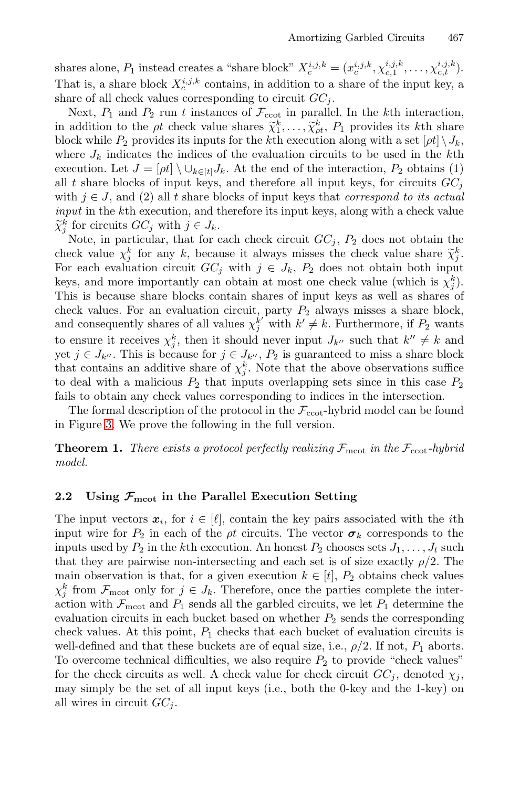shares alone,  $P_1$  instead creates a "share block"  $X_c^{i,j,k} = (x_c^{i,j,k}, \chi_{c,1}^{i,j,k}, \ldots, \chi_{c,t}^{i,j,k})$ .<br>That is a share block  $X_c^{i,j,k}$  sortains in addition to a share of the input leve a That is, a share block  $X_c^{i,j,k}$  contains, in addition to a share of the input key, a share of all check values corresponding to circuit  $GC$ . share of all check values corresponding to circuit  $GC_i$ .

Next,  $P_1$  and  $P_2$  run t instances of  $\mathcal{F}_{\text{ccot}}$  in parallel. In the kth interaction, in addition to the *pt* check value shares  $\tilde{\chi}_1^k, \ldots, \tilde{\chi}_{pt}^k, P_1$  provides its *k*th share<br>block while *P<sub>2</sub>* provides its inputs for the *k*<sup>th</sup> execution along with a set  $\lceil ct \rceil$ . block while  $P_2$  provides its inputs for the kth execution along with a set  $[\rho t] \setminus J_k$ , where  $J_k$  indicates the indices of the evaluation circuits to be used in the kth execution. Let  $J = [\rho t] \setminus \cup_{k \in [t]} J_k$ . At the end of the interaction,  $P_2$  obtains (1) all t share blocks of input keys, and therefore all input keys, for circuits  $GC<sub>j</sub>$ with  $j \in J$ , and (2) all t share blocks of input keys that *correspond to its actual* input in the kth execution, and therefore its input keys, along with a check value  $\widetilde{\chi}_j^k$  for circuits  $GC_j$  with  $j \in J_k$ .<br>Note in particular that for  $\epsilon$ 

Note, in particular, that for each check circuit  $GC<sub>i</sub>$ ,  $P<sub>2</sub>$  does not obtain the check value  $\chi_j^k$  for any k, because it always misses the check value share  $\tilde{\chi}_j^k$ .<br>For each evaluation circuit  $GC$ , with  $i \in I$ , B, does not obtain both input For each evaluation circuit  $GC_j$  with  $j \in J_k$ ,  $P_2$  does not obtain both input keys, and more importantly can obtain at most one check value (which is  $\chi_j^k$ ).<br>This is because share blocks contain shares of input keys as well as shares of This is because share blocks contain shares of input keys as well as shares of check values. For an evaluation circuit, party  $P_2$  always misses a share block,<br>and consequently shares of all values  $x^{k'}$  with  $k' \neq k$ . Furthermore, if  $P_2$  wants and consequently shares of all values  $\chi_j^{k'}$  with  $k' \neq k$ . Furthermore, if  $P_2$  wants to ensure it receives  $\chi_j^k$ , then it should never input  $J_{k''}$  such that  $k'' \neq k$  and  $j \in I_{k''}$ . This is because for  $j \in I_{k''}$ . By is guaranteed to miss a share block yet  $j \in J_{k''}$ . This is because for  $j \in J_{k''}, P_2$  is guaranteed to miss a share block<br>that contains an additive share of  $x^k$ . Note that the above observations suffice that contains an additive share of  $\chi_j^k$ . Note that the above observations suffice<br>to deal with a malicious  $P_2$  that inputs overlapping sets since in this case  $P_2$ to deal with a malicious  $P_2$  that inputs overlapping sets since in this case  $P_2$ fails to obtain any check values corresponding to indices in the intersection.

The formal description of the protocol in the  $\mathcal{F}_{\text{ccot}}$ -hybrid model can be found in Figure 3. We prove the following in the full version.

**Theorem 1.** There exists a protocol perfectly realizing  $\mathcal{F}_{\text{meot}}$  in the  $\mathcal{F}_{\text{ccot}}$ -hybrid model.

## **2.2** Using  $\mathcal{F}_{\text{meot}}$  in the Parallel Execution Setting

The input vectors  $x_i$ , for  $i \in [\ell]$ , contain the key pairs associated with the *i*th input wire for  $P_2$  in each of the *pt* circuits. The vector  $\sigma_k$  corresponds to the inputs used by  $P_2$  in the kth execution. An honest  $P_2$  chooses sets  $J_1, \ldots, J_t$  such that they are pairwise non-intersecting and each set is of size exactly  $\rho/2$ . The main observation is that, for a given execution  $k \in [t]$ ,  $P_2$  obtains check values  $\chi_j^k$  from  $\mathcal{F}_{\text{meot}}$  only for  $j \in J_k$ . Therefore, once the parties complete the inter-<br>action with  $\mathcal{F}_{\text{meas}}$  and  $P_k$  sends all the garbled circuits, we let  $P_k$  determine the action with  $\mathcal{F}_{\text{moot}}$  and  $P_1$  sends all the garbled circuits, we let  $P_1$  determine the evaluation circuits in each bucket based on whether  $P_2$  sends the corresponding check values. At this point,  $P_1$  checks that each bucket of evaluation circuits is well-defined and that these buckets are of equal size, i.e.,  $\rho/2$ . If not,  $P_1$  aborts. To overcome technical difficulties, we also require  $P_2$  to provide "check values" for the check circuits as well. A check value for check circuit  $GC_i$ , denoted  $\chi_i$ , may simply be the set of all input keys (i.e., both the 0-key and the 1-key) on all wires in circuit  $GC_i$ .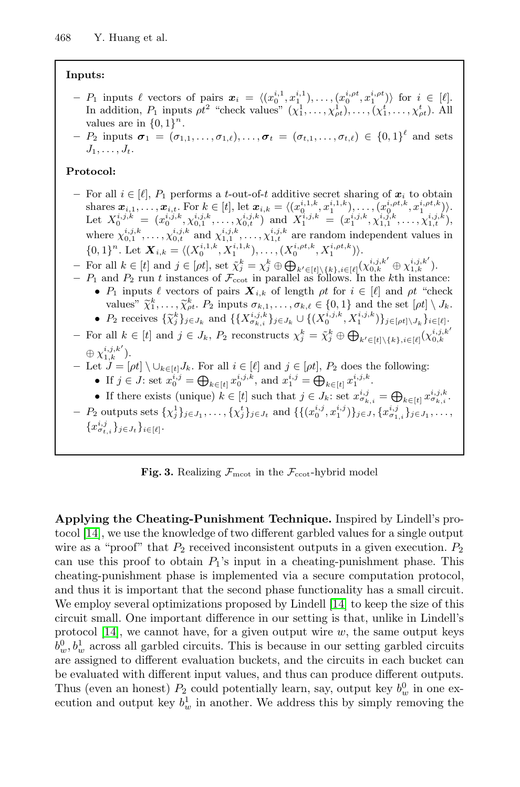## **Inputs:**

 $P_1$  inputs  $\ell$  vectors of pairs  $x_i = \langle (x_0^{i,1}, x_1^{i,1}), \ldots, (x_0^{i,\rho t}, x_1^{i,\rho t}) \rangle$  for  $i \in [\ell]$ .<br>In addition  $P_n$  inputs  $\sigma t^2$  "chock values"  $(x_0^{1,1}, x_0^{1,1}, \ldots, (x_t^{i,\rho t}, x_t^{i,\rho t}))$ In addition,  $P_1$  inputs  $\rho t^2$  "check values"  $(\chi_1^1, \ldots, \chi_{\rho t}^1), \ldots, (\chi_1^t, \ldots, \chi_{\rho t}^t)$ . All values are in  $I_0$   $11^n$ values are in  $\{0, 1\}^n$ .

**−**  $P_2$  inputs  $\sigma_1 = (\sigma_{1,1}, \ldots, \sigma_{1,\ell}), \ldots, \sigma_t = (\sigma_{t,1}, \ldots, \sigma_{t,\ell}) \in \{0,1\}^{\ell}$  and sets  $J_1,\ldots,J_t$ .

### **Protocol:**

- $\mathcal{F}$  For all  $i \in [\ell], P_1$  performs a t-out-of-t additive secret sharing of  $\mathbf{x}_i$  to obtain shares  $\mathbf{x}_{i,1}, \ldots, \mathbf{x}_{i,t}$ . For  $k \in [t]$ , let  $\mathbf{x}_{i,k} = \langle (x_0^{i,1,k}, x_1^{i,1,k}), \ldots, (x_0^{i,\rho t,k}, x_1^{i,\rho t,k}) \rangle$ .<br>Let  $X^{i,j,k} = (x_i^{i,j,k}, x_i^{i,j,k})$  and  $X^{i,j,k} = (x_i^{i,j,k}, x_i^{i,j,k}, x_i^{i,j,k})$ . Let  $X_0^{i,j,k} = (x_0^{i,j,k}, \chi_{0,1}^{i,j,k}, \ldots, \chi_{0,t}^{i,j,k})$  and  $X_1^{i,j,k} = (x_1^{i,j,k}, \chi_{1,1}^{i,j,k}, \ldots, \chi_{1,t}^{i,j,k})$ where  $\chi_{0,1}^{i,j,k}, \ldots, \chi_{0,t}^{i,j,k}$  and  $\chi_{1,1}^{i,j,k}, \ldots, \chi_{1,t}^{i,j,k}$  are random independent values in  $\{0,1\}^n$ . Let  $\mathbf{X}_{i,k} = \langle (X_0^{i,1,k}, X_1^{i,1,k}), \dots, (X_0^{i,p,t,k}, X_1^{i,p,t,k}) \rangle$ .
- **–** For all  $k \in [t]$  and  $j \in [\rho t]$ , set  $\tilde{\chi}_{j}^{k} = \chi_{j}^{k} \oplus \bigoplus_{k' \in [t] \setminus \{k\}, i \in [\ell]} (\chi_{0,k}^{i,j,k'} \oplus \chi_{1,k}^{i,j,k'})$ <br>  $\vdots$  P, and P, run t instances of  $\mathcal{F}_{\cdot}$ , in parallel as follows. In the kth instant
- $P_1$  and  $P_2$  run t instances of  $\mathcal{F}_{\text{ccot}}$  in parallel as follows. In the kth instance: •  $P_1$  inputs  $\ell$  vectors of pairs  $X_{i,k}$  of length  $\rho t$  for  $i \in [\ell]$  and  $\rho t$  "check<br>values"  $\tilde{\chi}^k$   $\tilde{\chi}^k$   $P_2$  inputs  $\sigma_{i,k} \in [0, 1]$  and the set  $[\sigma^i] \setminus I$ values"  $\tilde{\chi}_1^k, \ldots, \tilde{\chi}_{k'}^k$ .  $P_2$  inputs  $\sigma_{k,1}, \ldots, \sigma_{k,\ell} \in \{0,1\}$  and the set  $[\rho t] \setminus J_k$ .<br>  $P_k$  rescince  $\{\tilde{\chi}_k^k\}$  and  $\{(x_i, j_k)_{k \geq 1} \}$
- $P_2$  receives  $\{\tilde{\chi}_j^k\}_{j \in J_k}$  and  $\{\{X^{i,j,k}_{\sigma_{k,i}}\}_{j \in J_k} \cup \{(X^{i,j,k}_0, X^{i,j,k}_1)\}_{j \in [\rho t] \setminus J_k}\}_{i \in [\ell]}$ **−** For all  $k \in [t]$  and  $j \in J_k$ ,  $P_2$  reconstructs  $\chi_j^k = \tilde{\chi}_j^k \oplus \bigoplus_{k' \in [t] \setminus \{k\}, i \in [\ell]} (\chi_{0,k}^{i,j,k'})$
- $\oplus \chi_{1,k}^{i,j,k'}$ ).<br>Let  $I = \lceil$
- **–** Let  $J = [\rho t] \setminus \bigcup_{k \in [t]} J_k$ . For all  $i \in [\ell]$  and  $j \in [\rho t]$ ,  $P_2$  does the following:
- If  $j \in J$ : set  $x_0^{i,j} = \bigoplus_{k \in [t]} x_0^{i,j,k}$ , and  $x_1^{i,j} = \bigoplus_{k \in [t]} x_1^{i,j,k}$ . • If there exists (unique)  $k \in [t]$  such that  $j \in J_k$ : set  $x_{\sigma_k,i}^{i,j} = \bigoplus_{k \in [t]} x_{\sigma_k,i}^{i,j,k}$ .  $- P_2$  outputs sets  $\{\chi_j^1\}_{j\in J_1}, \ldots, \{\chi_j^t\}_{j\in J_t}$  and  $\{\{(x_0^{i,j}, x_1^{i,j})\}_{j\in J_1}, \{x_{\sigma_{1,i}}^{i,j}\}_{j\in J_1}, \ldots,$ 
	- ${x_{\sigma_{t,i}}^{i,j}}_{j\in J_t} \}_{i\in [\ell]}.$

**Fig. 3.** Realizing  $\mathcal{F}_{\text{mcot}}$  in the  $\mathcal{F}_{\text{ccot}}$ -hybrid model

**Applying the Cheating-Punishment Technique.** Inspired by Lindell's protocol [14], we use the knowledge of two different garbled values for a single output wire as a "proof" that  $P_2$  received inconsistent outputs in a given execution.  $P_2$ can use this proof to obtain  $P_1$ 's input in a cheating-punishment phase. This cheating-punishment phase is implemented via a secure computation protocol, and thus it is important that the second phase functionality has a small circuit. We employ several optimizations proposed by Lindell [14] to keep the size of this circuit small. One important difference in our setting is that, unlike in Lindell's protocol [14], we cannot have, for a given output wire  $w$ , the same output keys  $b_w^0, b_w^1$  across all garbled circuits. This is because in our setting garbled circuits<br>are assigned to different evaluation buckets, and the circuits in each bucket can are assigned to different evaluation buckets, and the circuits in each bucket can be evaluated with different input values, and thus can produce different outputs. Thus (even an honest)  $P_2$  could potentially learn, say, output key  $b_w^0$  in one ex-<br>equation and output key  $b^1$  in another. We address this by simply removing the ecution and output key  $b_w^1$  in another. We address this by simply removing the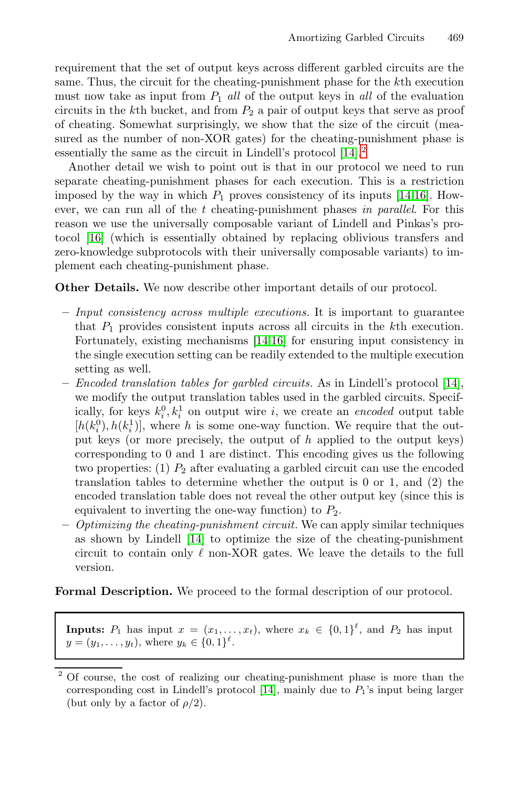requirement that the set of output keys across different garbled circuits are the same. Thus, the circuit for the cheating-punishm[ent](#page-17-0) [ph](#page-17-8)ase for the kth execution must now take as input from  $P_1$  all of the output keys in all of the evaluation circuits in the kth bucket, and from  $P_2$  a pair of output keys that serve as proof of cheating. Somewhat surprisingly, we show that the size of the circuit (measured as the number of non-XOR gates) for the cheating-punishment phase is essentially the same as the circuit in Lindell's protocol [14].<sup>2</sup>

Another detail we wish to point out is that in our protocol we need to run separate cheating-punishment phases for each execution. This is a restriction imposed by the way in which  $P_1$  proves consistency of its inputs [14,16]. However, we can run all of the t cheating-punishment phases in parallel. For this reason we use the universally composable variant of Lindell and Pinkas's protocol [16] (which is [ess](#page-17-0)[ent](#page-17-8)ially obtained by replacing oblivious transfers and zero-knowledge subprotocols with their universally composable variants) to implement each cheating-punishment phase.

**Other Details.** We now describe other important details of our protocol.

- **–** Input consistency across multiple executions. It is important to guarantee that  $P_1$  provides consistent inputs across all circuits in the kth execution. Fortunately, existing mechanisms [14,16] for ensuring input consistency in the single execution setting can be readily extended to the multiple execution setting as well.
- **–** Encoded translation tables for garbled circuits. As in Lindell's protocol [14], we modify the output translation tables used in the garbled circuits. Specifically, for keys  $k_i^0, k_i^1$  on output wire i, we create an *encoded* output table  $[h(k^0), h(k^1)]$  where h is some one-way function. We require that the out- $[h(k_i^0), h(k_i^1)]$  $[h(k_i^0), h(k_i^1)]$  $[h(k_i^0), h(k_i^1)]$ , where h is some one-way function. We require that the out-<br>put keys (or more precisely the output of h applied to the output keys) put keys (or more precisely, the output of  $h$  applied to the output keys) corresponding to 0 and 1 are distinct. This encoding gives us the following two properties: (1)  $P_2$  after evaluating a garbled circuit can use the encoded translation tables to determine whether the output is 0 or 1, and (2) the encoded translation table does not reveal the other output key (since this is equivalent to inverting the one-way function) to  $P_2$ .
- **–** Optimizing the cheating-punishment circuit. We can apply similar techniques as shown by Lindell [14] to optimize the size of the cheating-punishment circuit to contain only  $\ell$  non-XOR gates. We leave the details to the full version.

**Formal Description.** [W](#page-17-0)e proceed to the formal description of our protocol.

**Inputs:**  $P_1$  has input  $x = (x_1, \ldots, x_t)$ , where  $x_k \in \{0, 1\}^{\ell}$ , and  $P_2$  has input  $y = (y_1, \ldots, y_t)$  where  $y_t \in \{0, 1\}^{\ell}$  $y = (y_1, \ldots, y_t)$ , where  $y_k \in \{0, 1\}^{\ell}$ .

<sup>2</sup> Of course, the cost of realizing our cheating-punishment phase is more than the corresponding cost in Lindell's protocol [14], mainly due to  $P_1$ 's input being larger (but only by a factor of  $\rho/2$ ).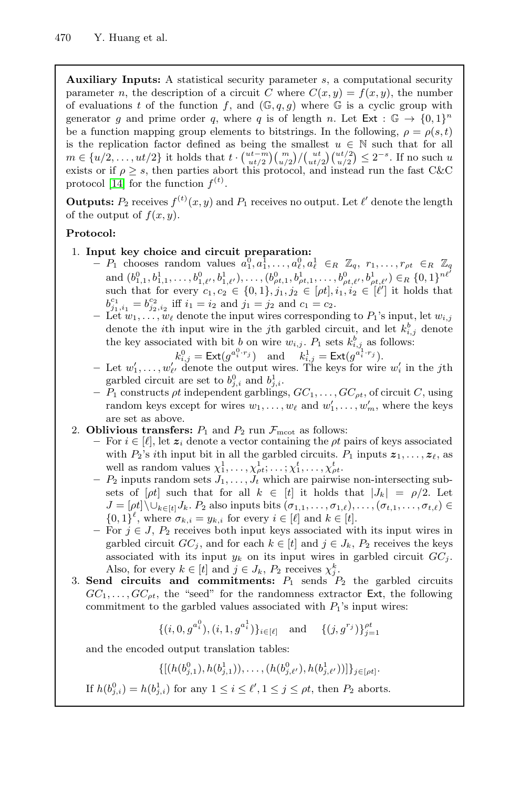**Auxiliary Inputs:** A statistical security parameter s, a computational security parameter n, the description of a circuit C where  $C(x, y) = f(x, y)$ , the number of evaluations t of the function f, and  $(\mathbb{G}, q, g)$  where  $\mathbb{G}$  is a cyclic group with generator g and prime order q, where q is of length n. Let  $Ext : \mathbb{G} \to \{0,1\}^n$ be a function mapping group elements to bitstrings. In the following,  $\rho = \rho(s, t)$ is the replication factor defined as being the smallest  $u \in \mathbb{N}$  such that for all  $m \in \{u/2, \ldots, ut/2\}$  it holds that  $t \cdot {ut - m \choose ut/2} {m \choose ut/2} {ut/2 \choose u/2} \leq 2^{-s}$ . If no such u<br>exists or if  $s > s$  then parties abort this protocol and instead run the fast  $CkC$  $\text{exists or if } \rho \geq s, \text{ then parties abort this protocol, and instead run the fast C&C\n\nprotocol [14] for the function  $f(t)$$ protocol [14] for the function  $f^{(t)}$ .

**Outputs:**  $P_2$  receives  $f^{(t)}(x, y)$  and  $P_1$  receives no output. Let  $\ell'$  denote the length of the output of  $f(x, y)$ of the output of  $f(x, y)$ .

## **Protocol:**

- 1. **Input key choice and circuit preparation:**
	- $\begin{array}{c}\n-P_1 \text{ chooses random values } a_1^0, a_1^1, \ldots, a_\ell^0, a_\ell^1 \in_R \mathbb{Z}_q, r_1, \ldots, r_{\rho t} \in_R \mathbb{Z}_q \\
	\text{and } (b_1^0, b_1^1, \ldots, b_{\rho t}^0, b_1^1, \ldots, b_{\rho t}^0, b_{\rho t}^1, \ldots, b_{\rho t}^0, b_{\rho t}^1, \ldots, b_{\rho t}^0, b_{\rho t}^1, \ldots, b_{\rho t}^0, b_{\rho t}^1, \ldots, b_{\rho t}^0, b$ and  $(b_{1,1}^0, b_{1,1}^1, \ldots, b_{1,\ell}^0, b_{1,\ell}^1, \ldots, (b_{\rho t,1}^0, b_{\rho t,1}^1, \ldots, b_{\rho t,\ell}^0, b_{\rho t,\ell}^1, b_{\rho t,\ell}^1) \in \mathbb{R}$  {0, 1}<sup>net</sup> such that for every  $c_1, c_2 \in \{0, 1\}, j_1, j_2 \in [\rho t], i_1, i_2 \in [\ell']$  it holds that  $b^{c_1} = b^{c_2}$  if  $i_1 = i_2$  and  $i_1 = i_2$  and  $c_1 = c_2$  $\dot{c}_{j_1,i_1}^{c_1} = b_{j_2,i_2}^{c_2}$  iff  $i_1 = i_2$  and  $j_1 = j_2$  and  $c_1 = c_2$ .<br>  $\dot{c}_{j_1,i_1}^{c_1} = j_2^{c_2}$  and  $j_1 = j_2$  and  $c_1 = c_2$ .
	- .<br>T  $\overline{\mathcal{L}}$  Let  $w_1, \ldots, w_\ell$  denote the input wires corresponding to  $P_1$ 's input, let  $w_{i,j}$  denote the *i*<sup>th</sup> input wire in the *i*<sup>th</sup> architecturity and let  $k^b$ , denote denote the *i*th input wire in the *j*th garbled circuit, and let  $k_{i,j}^b$  denote the level associated with bit h on wire  $w_i \in P_i$  sets  $k_{i,j}^b$ , as follows: the key associated with bit b on wire  $w_{i,j}$ .  $P_1$  sets  $k_{i,j}^b$  as follows:

$$
k_{i,j}^0 = \text{Ext}(g^{a_i^0 \cdot r_j})
$$
 and 
$$
k_{i,j}^1 = \text{Ext}(g^{a_i^1 \cdot r_j}).
$$
  
denote the output wires. The keys for wire

- $-$  Let  $w'_1, \ldots, w'_{\ell'}$  denote the output wires. The keys for wire  $w'_i$  in the j<sup>th</sup> symbol circuit are set to  $b^0$ , and  $b^1$ . garbled circuit are set to  $b_{j,i}^0$  and  $b_{j,i}^1$ .<br>*P<sub>1</sub>* constructs *ot* independent garbling
- $-P_1$  constructs  $\rho t$  independent garblings,  $GC_1, \ldots, GC_{pt}$ , of circuit C, using random keys except for wires  $w_1, \ldots, w_\ell$  and  $w'_1, \ldots, w'_m$ , where the keys are set as above.
- 2. **Oblivious transfers:**  $P_1$  and  $P_2$  run  $\mathcal{F}_{\text{mcot}}$  as follows:
	- $-$  For *i* ∈ [ $\ell$ ], let  $z_i$  denote a vector containing the *ρt* pairs of keys associated<br>with *P*<sup>3</sup> ith input bit in all the garbled circuite, *P*<sub>1</sub> inputs  $z_i$ with  $P_2$ 's *i*th input bit in all the garbled circuits.  $P_1$  inputs  $\boldsymbol{z}_1, \ldots, \boldsymbol{z}_\ell$ , as well as random values  $\chi_1^1, \ldots, \chi_{pt}^1; \ldots; \chi_1^t, \ldots, \chi_{pt}^t$ .<br>*P*<sub>2</sub> inputs random sets *L*, which are pairwish
	- $-P_2$  inputs random sets  $J_1,\ldots,J_t$  which are pairwise non-intersecting subsets of  $[\rho t]$  such that for all  $k \in [t]$  it holds that  $|J_k| = \rho/2$ . Let  $J = [\rho t] \setminus \cup_{k \in [t]} J_k$ .  $P_2$  also inputs bits  $(\sigma_{1,1}, \ldots, \sigma_{1,\ell}), \ldots, (\sigma_{t,1}, \ldots, \sigma_{t,\ell}) \in$ <br>  $J_0 \cup \mathbb{R}^{\ell}$  where  $\sigma_{i,j} := \mathcal{U}_j$  for every  $i \in [\ell]$  and  $k \in [t]$  $\{0,1\}^{\ell}$ , where  $\sigma_{k,i} = y_{k,i}$  for every  $i \in [\ell]$  and  $k \in [t]$ .<br>For  $i \in I$  Be receives both input keys associated with
	- **–** For <sup>j</sup> <sup>∈</sup> <sup>J</sup>, <sup>P</sup><sup>2</sup> receives both input keys associated with its input wires in garbled circuit  $GC_j$ , and for each  $k \in [t]$  and  $j \in J_k$ ,  $P_2$  receives the keys associated with its input  $y_k$  on its input wires in garbled circuit  $GC_j$ . Also, for every  $k \in [t]$  and  $j \in J_k$ ,  $P_2$  receives  $\chi_j^k$ .<br>determines the commitments:  $P_1$  sends  $\overline{P_1}$ .
- 3. **Send circuits and commitments:**  $P_1$  sends  $P_2$  the garbled circuits  $CC_1$  of  $CC_2$  the "seed" for the randomness extractor  $\overline{F}_{\mathbf{X}}$  the following  $GC_1, \ldots, GC_{pt}$ , the "seed" for the randomness extractor Ext, the following commitment to the garbled values associated with  $P_1$ 's input wires:

$$
\{(i, 0, g^{a_i^0}), (i, 1, g^{a_i^1})\}_{i \in [\ell]} \quad \text{and} \quad \{(j, g^{r_j})\}_{j=1}^{pt}
$$

and the encoded output translation tables:

 $\{[(h(b_{j,1}^0), h(b_{j,1}^1)), \ldots, (h(b_{j,\ell'}^0), h(b_{j,\ell'}^1))] \}_{j \in [\rho t]}.$ 

If 
$$
h(b_{j,i}^0) = h(b_{j,i}^1)
$$
 for any  $1 \leq i \leq \ell', 1 \leq j \leq \rho t$ , then  $P_2$  aborts.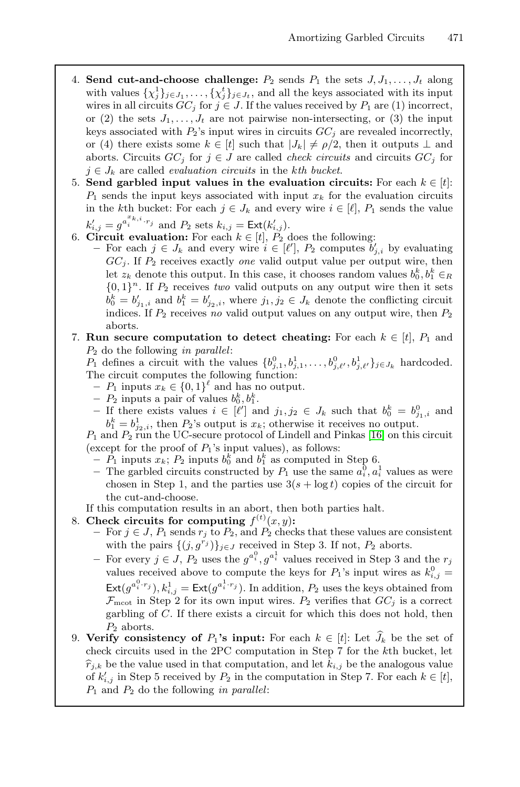- 4. **Send cut-and-choose challenge:**  $P_2$  sends  $P_1$  the sets  $J, J_1, \ldots, J_t$  along with values  $\{\chi_j^1\}_{j\in J_1}, \ldots, \{\chi_j^t\}_{j\in J_t}$ , and all the keys associated with its input<br>wires in all circuits  $GC$ , for  $i \in I$ . If the values received by P, are (1) incorrect wires in all circuits  $GC_j$  for  $j \in J$ . If the values received by  $P_1$  are (1) incorrect, or (2) the sets  $J_1, \ldots, J_t$  are not pairwise non-intersecting, or (3) the input keys associated with  $P_2$ 's input wires in circuits  $GC_i$  are revealed incorrectly, or (4) there exists some  $k \in [t]$  such that  $|J_k| \neq \rho/2$ , then it outputs  $\perp$  and aborts. Circuits  $GC_j$  for  $j \in J$  are called *check circuits* and circuits  $GC_j$  for  $j \in J_k$  are called *evaluation circuits* in the *kth bucket*.<br>**Send garbled input values in the evaluation circuit**
- 5. **Send garbled input values in the evaluation circuits:** For each  $k \in [t]$ :<br>*P.* sends the input keys associated with input x, for the evaluation circuits  $P_1$  sends the input keys associated with input  $x_k$  for the evaluation circuits in the kth bucket: For each  $j \in J_k$  and every wire  $i \in [\ell], P_1$  sends the value in the kth bucket: For each  $j \in J_k$  and every wire  $i \in [\ell], P_1$  sends the value  $k'_{i,j} = g^{a_i^x k, i, r_j}$  and  $P_2$  sets  $k_{i,j} = \text{Ext}(k'_{i,j}).$ <br>Circuit evaluation: For each  $k \in [t]$ ,  $P_2$
- 6. **Circuit evaluation:** For each  $k \in [t]$ ,  $P_2$  does the following:<br>- For each  $j \in J_k$  and every wire  $i \in [\ell']$ .  $P_2$  computes b
	- $\mathcal{F}$  For each  $j \in J_k$  and every wire  $i \in [\ell'], P_2$  computes  $b'_{j,i}$  by evaluating  $\mathcal{F}C$ . If  $P_2$  receives exactly are valid output value per output wire then  $GC<sub>i</sub>$ . If  $P<sub>2</sub>$  receives exactly *one* valid output value per output wire, then let  $z_k$  denote this output. In this case, it chooses random values  $b_0^k, b_1^k \in R$ <br>10,  $11^n$ . If  $P_2$  receives two valid outputs on any output wire then it sets  ${0, 1}^n$ . If  $P_2$  receives *two* valid outputs on any output wire then it sets  $b_0^k = b'_{j_1,i}$  and  $b_1^k = b'_{j_2,i}$ , where  $j_1, j_2 \in J_k$  denote the conflicting circuit<br>indices If  $P_2$  receives no valid output values on any output wire then  $P_2$ indices. If  $P_2$  receives *no* valid output values on any output wire, then  $P_2$ aborts.
- 7. **Run secure computation to detect cheating:** For each  $k \in [t]$ ,  $P_1$  and <sup>P</sup><sup>2</sup> do the following *in parallel*:

 $P_1$  defines a circuit with the values  $\{b_{j,1}^0, b_{j,1}^1, \ldots, b_{j,\ell'}^0, b_{j,\ell'}^1\}_{j \in J_k}$  hardcoded.<br>The circuit computes the following function: The circuit computes the following function:

- $P_1$  inputs  $x_k \in \{0, 1\}^{\ell}$  and has no output.<br>  $P_2$  inputs a pair of values  $h_2^k h_2^k$ .
- $P_2$  inputs a pair of values  $b_0^k, b_1^k$ .<br>  $=$  If there exists values  $i \in [\ell']$  at
- **−** If there exists values  $i \in [\ell']$  and  $j_1, j_2 \in J_k$  such that  $b_0^k = b_{j_1,i}^0$  and  $b_k^k = b_1^1$ , then  $B_0$ 's output is  $x_i$ ; otherwise it receives no output  $b_1^k = b_{j_2,i}^1$ , then  $P_2$ 's output is  $x_k$ ; otherwise it receives no output.<br>
and  $P_2$  run the UC-secure protocol of Lindell and Pinkas [16] on this

 $P_1$  and  $P_2$  run the UC-secure protocol of Lindell and Pinkas [16] on this circuit (except for the proof of  $P_1$ 's input values), as follows:

- $\overline{P}_1$  inputs  $\overline{x}_k$ ;  $P_2$  inputs  $b_0^k$  and  $b_1^k$  as computed in Step 6.<br>  $\overline{P}_1$  The garbled circuits constructed by  $P_1$  use the same  $a_0^0$  and
- The garbled circuits constructed by  $P_1$  use the same  $a_i^0, a_i^1$  values as were<br>chosen in Stap 1, and the parties use  $3(e + \log t)$  copies of the circuit for chosen in Step 1, and the parties use  $3(s + \log t)$  copies of the circuit for the cut-and-choose.
- If this computation results in an abort, then both parties halt.
- 8. **Check circuits for computing**  $f^{(t)}(x, y)$ :  $(x, y)$ :<br><sup>2</sup> chec
	- $-$  For  $j \in J$ ,  $P_1$  sends  $r_j$  to  $P_2$ , and  $P_2$  checks that these values are consistent<br>with the pairs  $f(i, a^{r_j})$  is a received in Step 3. If not  $P_2$  aborts with the pairs  $\{(j, g^{r_j})\}_{j\in J}$  received in Step 3. If not,  $P_2$  aborts.
	- $-$  For every  $j \in J$ ,  $P_2$  uses the  $g^{a_i^0}, g^{a_i^1}$  values received in Step 3 and the r<sub>j</sub>, values received above to compute the keys for  $P_2$ 's input wires as  $b_i^0$ . − values received above to compute the keys for  $P_1$ 's input wires as  $k_{i,j}^0 =$  $\text{Ext}(g^{a_i^0 \cdot r_j}), k_{i,j}^1 = \text{Ext}(g^{a_i^1 \cdot r_j}).$  In addition,  $P_2$  uses the keys obtained from  $\mathcal{F}$  in Stop 2 for its own input wires. By verifies that  $GC$  is a correct  $\mathcal{F}_{\text{mcot}}$  in Step 2 for its own input wires.  $P_2$  verifies that  $GC_j$  is a correct garbling of C. If there exists a circuit for which this does not hold, then  $P_2$  aborts.
- $P_2$  aborts.<br>**ify** consis 9. **Verify consistency of**  $P_1$ **'s input:** For each  $k \in [t]$ : Let  $J_k$  be the set of chock circuits used in the 2PC computation in Step 7 for the *k*th bucket let check circuits used in the 2PC computation in Step 7 for the kth bucket, let  $\hat{x}_{k}$  be the set of  $\hat{x}_{k}$  be the value used in that computation and let  $\hat{k}_{k}$  be the analogous value  $\hat{r}_{j,k}$  be the value used in that computation, and let  $\hat{k}_{i,j}$  be the analogous value of  $k'_{i,j}$  in Step 5 received by  $P_2$  in the computation in Step 7. For each  $k \in [t]$ ,<br> $P_1$  and  $P_2$  do the following in parallel. <sup>P</sup><sup>1</sup> and <sup>P</sup><sup>2</sup> do the following *in parallel*: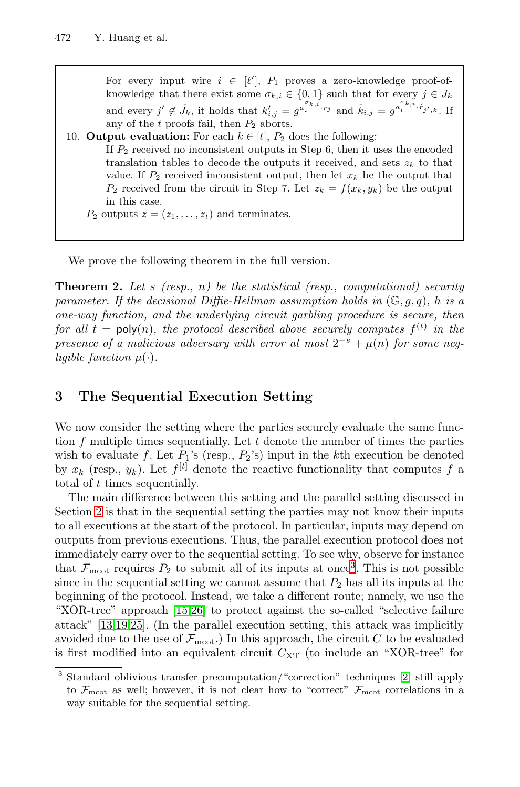- **−** For every input wire  $i \in [\ell'], P_1$  proves a zero-knowledge proof-of-<br>
knowledge that there exist some  $\sigma_i : \in \{0, 1\}$  such that for every  $i \in I$ . knowledge that there exist some  $\sigma_{k,i} \in \{0,1\}$  such that for every  $j \in J_k$ and every  $j' \notin \hat{J}_k$ , it holds that  $k'_{i,j} = g^{a_i^{\sigma_k,i} \cdot r_j}$  and  $\hat{k}_{i,j} = g^{a_i^{\sigma_k,i} \cdot \hat{r}_{j',k}}$ . If any of the t proofs fail, then  $P_2$  aborts.
- <span id="page-14-0"></span>10. **Output evaluation:** For each  $k \in [t]$ ,  $P_2$  does the following: **–** If <sup>P</sup><sup>2</sup> received no inconsistent outputs in Step 6, then it uses the encoded translation tables to decode the outputs it received, and sets  $z_k$  to that value. If  $P_2$  received inconsistent output, then let  $x_k$  be the output that  $P_2$  received from the circuit in Step 7. Let  $z_k = f(x_k, y_k)$  be the output in this case.  $P_2$  outputs  $z = (z_1, \ldots, z_t)$  and terminates.

We prove the following theorem in the full version.

**Theorem 2.** Let s (resp., n) be the statistical (resp., computational) security parameter. If the decisional Diffie-Hellman assumption holds in  $(\mathbb{G}, q, q)$ , h is a one-way function, and the underlying circuit garbling procedure is secure, then for all  $t = \text{poly}(n)$ , the protocol described above securely computes  $f^{(t)}$  in the presence of a malicious adversary with error at most  $2^{-s} + \mu(n)$  for some negligible function  $\mu(\cdot)$ .

## **3 The Sequential Execution Setting**

We now consider the setting where the parties securely evaluate the same function  $f$  multiple times sequentially. Let  $t$  denote the number of times the parties wish to evaluate f. Let  $P_1$ 's (resp.,  $P_2$ '[s\)](#page-14-1) input in the kth execution be denoted by  $x_k$  (resp.,  $y_k$ ). Let  $f^{[t]}$  denote the reactive functionality that computes f a total of  $t$  times sequentially.

<span id="page-14-1"></span>T[he m](#page-17-4)[ain](#page-17-13) difference between this setting and the parallel setting discussed in Section 2 is that in the sequential setting the parties may not know their inputs to all executions at the start of the protocol. In particular, inputs may depend on outputs from previous executions. Thus, the parallel execution protocol does not immediately carry over to the sequential setting. To see why, observe for instance that  $\mathcal{F}_{\text{mcot}}$  requires  $P_2$  to submit [a](#page-16-7)ll of its inputs at once<sup>3</sup>. This is not possible since in the sequential setting we cannot assume that  $P_2$  has all its inputs at the beginning of the protocol. Instead, we take a different route; namely, we use the "XOR-tree" approach [15,26] to protect against the so-called "selective failure attack" [13,19,25]. (In the parallel execution setting, this attack was implicitly avoided due to the use of  $\mathcal{F}_{\text{m}cot}$ .) In this approach, the circuit C to be evaluated is first modified into an equivalent circuit  $C_{XT}$  (to include an "XOR-tree" for

<sup>3</sup> Standard oblivious transfer precomputation/"correction" techniques [2] still apply to  $\mathcal{F}_{\text{mcot}}$  as well; however, it is not clear how to "correct"  $\mathcal{F}_{\text{mcot}}$  correlations in a way suitable for the sequential setting.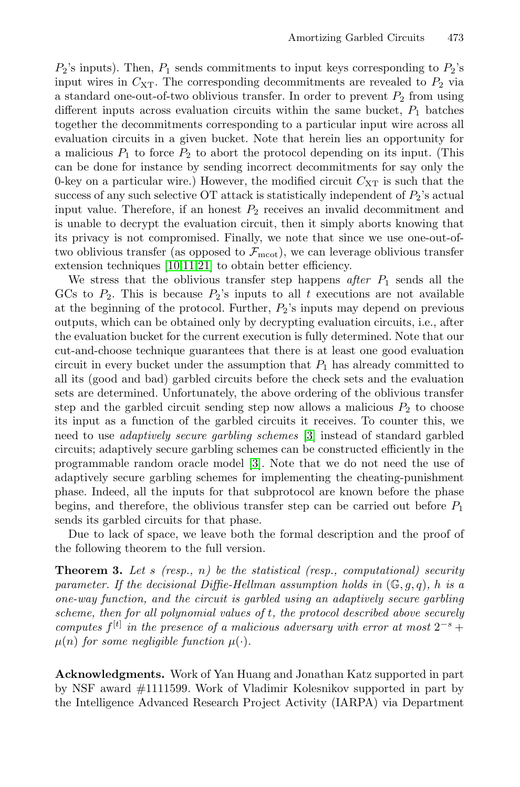$P_2$ 's inputs). Then,  $P_1$  sends commitments to input keys corresponding to  $P_2$ 's input wires in  $C_{\text{XT}}$ . The corresponding decommitments are revealed to  $P_2$  via a standard one-out-of-two oblivious transfer. In order to prevent  $P_2$  from using different inputs across evaluation circuits within the same bucket,  $P_1$  batches together the decommitments corresponding to a particular input wire across all evaluation circuits in a given bucket. Note that herein lies an opportunity for a [mali](#page-16-3)[cio](#page-17-14)[us](#page-17-11)  $P_1$  to force  $P_2$  to abort the protocol depending on its input. (This can be done for instance by sending incorrect decommitments for say only the 0-key on a particular wire.) However, the modified circuit  $C_{XT}$  is such that the success of any such selective OT attack is statistically independent of  $P_2$ 's actual input value. Therefore, if an honest  $P_2$  receives an invalid decommitment and is unable to decrypt the evaluation circuit, then it simply aborts knowing that its privacy is not compromised. Finally, we note that since we use one-out-oftwo oblivious transfer (as opposed to  $\mathcal{F}_{\text{moot}}$ ), we can leverage oblivious transfer extension techniques [10,11,21] to obtain better efficiency.

We stress that the oblivious transfer step happens after  $P_1$  sends all the GCs to  $P_2$ . This is because  $P_2$ 's inputs to all t executions are not available at the beginning of the protocol. Further,  $P_2$ 's inputs may depend on previous outputs, which can be obtaine[d o](#page-16-6)nly by decrypting evaluation circuits, i.e., after the evaluation bucket for the current execution is fully determined. Note that our cut-and-choose tech[ni](#page-16-6)que guarantees that there is at least one good evaluation circuit in every bucket under the assumption that  $P_1$  has already committed to all its (good and bad) garbled circuits before the check sets and the evaluation sets are determined. Unfortunately, the above ordering of the oblivious transfer step and the garbled circuit sending step now allows a malicious  $P_2$  to choose its input as a function of the garbled circuits it receives. To counter this, we need to use adaptively secure garbling schemes [3] instead of standard garbled circuits; adaptively secure garbling schemes can be constructed efficiently in the programmable random oracle model [3]. Note that we do not need the use of adaptively secure garbling schemes for implementing the cheating-punishment phase. Indeed, all the inputs for that subprotocol are known before the phase begins, and therefore, the oblivious transfer step can be carried out before  $P_1$ sends its garbled circuits for that phase.

Due to lack of space, we leave both the formal description and the proof of the following theorem to the full version.

**Theorem 3.** Let s (resp., n) be the statistical (resp., computational) security parameter. If the decisional Diffie-Hellman assumption holds in  $(\mathbb{G}, q, q)$ , h is a one-way function, and the circuit is garbled using an adaptively secure garbling scheme, then for all polynomial values of t, the protocol described above securely computes  $f<sup>[t]</sup>$  in the presence of a malicious adversary with error at most  $2^{-s}$  +  $\mu(n)$  for some negligible function  $\mu(\cdot)$ .

**Acknowledgments.** Work of Yan Huang and Jonathan Katz supported in part by NSF award #1111599. Work of Vladimir Kolesnikov supported in part by the Intelligence Advanced Research Project Activity (IARPA) via Department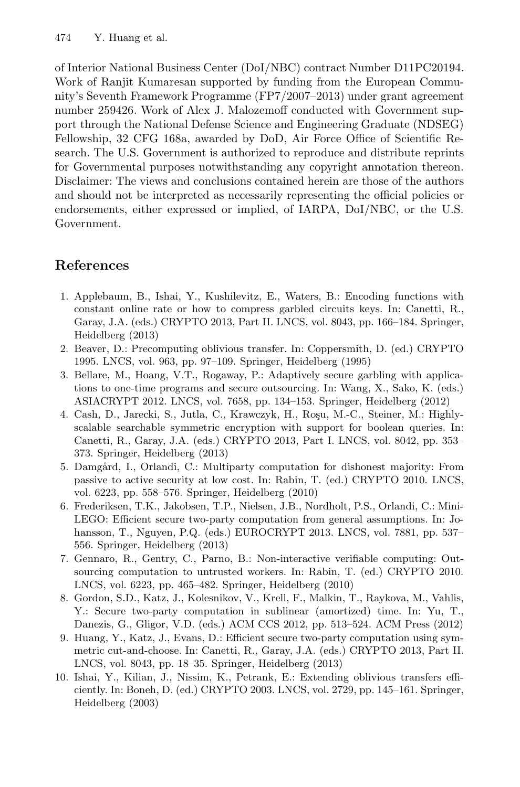of Interior National Business Center (DoI/NBC) contract Number D11PC20194. Work of Ranjit Kumaresan supported by funding from the European Community's Seventh Framework Programme (FP7/2007–2013) under grant agreement number 259426. Work of Alex J. Malozemoff conducted with Government support through the National Defense Science and Engineering Graduate (NDSEG) Fellowship, 32 CFG 168a, awarded by DoD, Air Force Office of Scientific Research. The U.S. Government is authorized to reproduce and distribute reprints for Governmental purposes notwithstanding any copyright annotation thereon. Disclaimer: The views and conclusions contained herein are those of the authors and should not be interpreted as necessarily representing the official policies or endorsements, either expressed or implied, of IARPA, DoI/NBC, or the U.S. Government.

# <span id="page-16-7"></span><span id="page-16-4"></span>**References**

- <span id="page-16-6"></span>1. Applebaum, B., Ishai, Y., Kushilevitz, E., Waters, B.: Encoding functions with constant online rate or how to compress garbled circuits keys. In: Canetti, R., Garay, J.A. (eds.) CRYPTO 2013, Part II. LNCS, vol. 8043, pp. 166–184. Springer, Heidelberg (2013)
- 2. Beaver, D.: Precomputing oblivious transfer. In: Coppersmith, D. (ed.) CRYPTO 1995. LNCS, vol. 963, pp. 97–109. Springer, Heidelberg (1995)
- 3. Bellare, M., Hoang, V.T., Rogaway, P.: Adaptively secure garbling with applications to one-time programs and secure outsourcing. In: Wang, X., Sako, K. (eds.) ASIACRYPT 2012. LNCS, vol. 7658, pp. 134–153. Springer, Heidelberg (2012)
- <span id="page-16-2"></span>4. Cash, D., Jarecki, S., Jutla, C., Krawczyk, H., Roşu, M.-C., Steiner, M.: Highlyscalable searchable symmetric encryption with support for boolean queries. In: Canetti, R., Garay, J.A. (eds.) CRYPTO 2013, Part I. LNCS, vol. 8042, pp. 353– 373. Springer, Heidelberg (2013)
- <span id="page-16-5"></span>5. Damgård, I., Orlandi, C.: Multiparty computation for dishonest majority: From passive to active security at low cost. In: Rabin, T. (ed.) CRYPTO 2010. LNCS, vol. 6223, pp. 558–576. Springer, Heidelberg (2010)
- <span id="page-16-1"></span><span id="page-16-0"></span>6. Frederiksen, T.K., Jakobsen, T.P., Nielsen, J.B., Nordholt, P.S., Orlandi, C.: Mini-LEGO: Efficient secure two-party computation from general assumptions. In: Johansson, T., Nguyen, P.Q. (eds.) EUROCRYPT 2013. LNCS, vol. 7881, pp. 537– 556. Springer, Heidelberg (2013)
- <span id="page-16-3"></span>7. Gennaro, R., Gentry, C., Parno, B.: Non-interactive verifiable computing: Outsourcing computation to untrusted workers. In: Rabin, T. (ed.) CRYPTO 2010. LNCS, vol. 6223, pp. 465–482. Springer, Heidelberg (2010)
- 8. Gordon, S.D., Katz, J., Kolesnikov, V., Krell, F., Malkin, T., Raykova, M., Vahlis, Y.: Secure two-party computation in sublinear (amortized) time. In: Yu, T., Danezis, G., Gligor, V.D. (eds.) ACM CCS 2012, pp. 513–524. ACM Press (2012)
- 9. Huang, Y., Katz, J., Evans, D.: Efficient secure two-party computation using symmetric cut-and-choose. In: Canetti, R., Garay, J.A. (eds.) CRYPTO 2013, Part II. LNCS, vol. 8043, pp. 18–35. Springer, Heidelberg (2013)
- 10. Ishai, Y., Kilian, J., Nissim, K., Petrank, E.: Extending oblivious transfers efficiently. In: Boneh, D. (ed.) CRYPTO 2003. LNCS, vol. 2729, pp. 145–161. Springer, Heidelberg (2003)